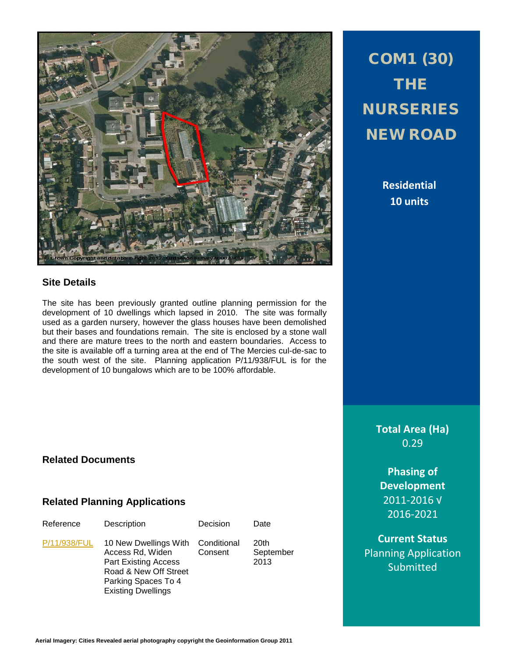

# **Site Details**

The site has been previously granted outline planning permission for the development of 10 dwellings which lapsed in 2010. The site was formally used as a garden nursery, however the glass houses have been demolished but their bases and foundations remain. The site is enclosed by a stone wall and there are mature trees to the north and eastern boundaries. Access to the site is available off a turning area at the end of The Mercies cul-de-sac to the south west of the site. Planning application P/11/938/FUL is for the development of 10 bungalows which are to be 100% affordable.

COM1 (30) THE NURSERIES NEW ROAD

> **Residential 10 units**

**Total Area (Ha)** 0.29

**Phasing of Development** 2011-2016 √ 2016-2021

**Current Status** Planning Application Submitted

# **Related Documents**

### **Related Planning Applications**

| Reference    | Description                                                                                                                                           | Decision               | Date                      |
|--------------|-------------------------------------------------------------------------------------------------------------------------------------------------------|------------------------|---------------------------|
| P/11/938/FUL | 10 New Dwellings With<br>Access Rd, Widen<br><b>Part Existing Access</b><br>Road & New Off Street<br>Parking Spaces To 4<br><b>Existing Dwellings</b> | Conditional<br>Consent | 20th<br>September<br>2013 |